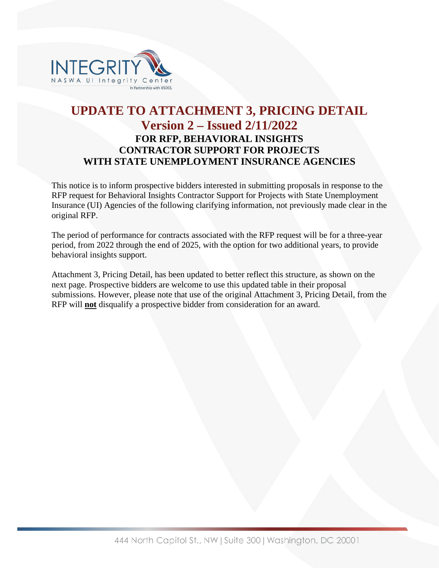

## **UPDATE TO ATTACHMENT 3, PRICING DETAIL Version 2 – Issued 2/11/2022 FOR RFP, BEHAVIORAL INSIGHTS CONTRACTOR SUPPORT FOR PROJECTS WITH STATE UNEMPLOYMENT INSURANCE AGENCIES**

This notice is to inform prospective bidders interested in submitting proposals in response to the RFP request for Behavioral Insights Contractor Support for Projects with State Unemployment Insurance (UI) Agencies of the following clarifying information, not previously made clear in the original RFP.

The period of performance for contracts associated with the RFP request will be for a three-year period, from 2022 through the end of 2025, with the option for two additional years, to provide behavioral insights support.

Attachment 3, Pricing Detail, has been updated to better reflect this structure, as shown on the next page. Prospective bidders are welcome to use this updated table in their proposal submissions. However, please note that use of the original Attachment 3, Pricing Detail, from the RFP will **not** disqualify a prospective bidder from consideration for an award.